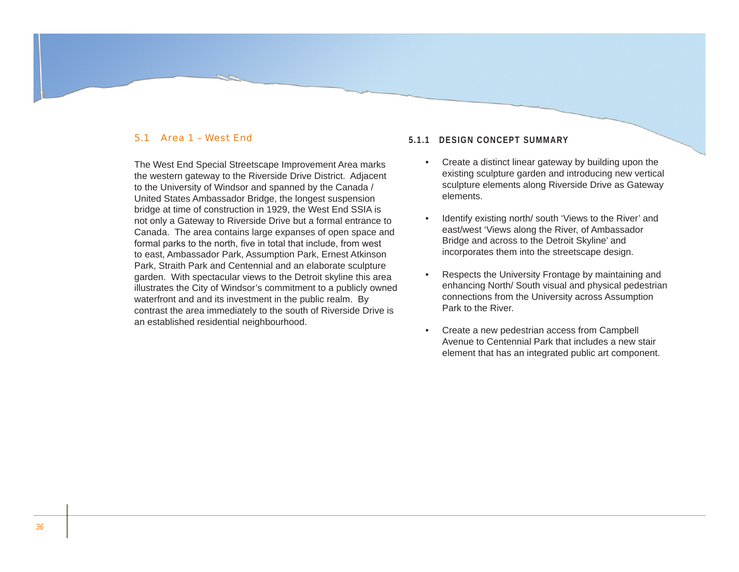## 5.1 Area 1 – West End

The West End Special Streetscape Improvement Area marks the western gateway to the Riverside Drive District. Adjacent to the University of Windsor and spanned by the Canada / United States Ambassador Bridge, the longest suspension bridge at time of construction in 1929, the West End SSIA is not only a Gateway to Riverside Drive but a formal entrance to Canada. The area contains large expanses of open space and formal parks to the north, five in total that include, from west to east, Ambassador Park, Assumption Park, Ernest Atkinson Park, Straith Park and Centennial and an elaborate sculpture garden. With spectacular views to the Detroit skyline this area illustrates the City of Windsor's commitment to a publicly owned waterfront and and its investment in the public realm. By contrast the area immediately to the south of Riverside Drive is an established residential neighbourhood.

## **5.1.1 Design Concept Summary**

- Create a distinct linear gateway by building upon the existing sculpture garden and introducing new vertical sculpture elements along Riverside Drive as Gateway elements. •
- Identify existing north/ south 'Views to the River' and east/west 'Views along the River, of Ambassador Bridge and across to the Detroit Skyline' and incorporates them into the streetscape design. •
- Respects the University Frontage by maintaining and enhancing North/ South visual and physical pedestrian connections from the University across Assumption Park to the River. •
- Create a new pedestrian access from Campbell Avenue to Centennial Park that includes a new stair element that has an integrated public art component. •